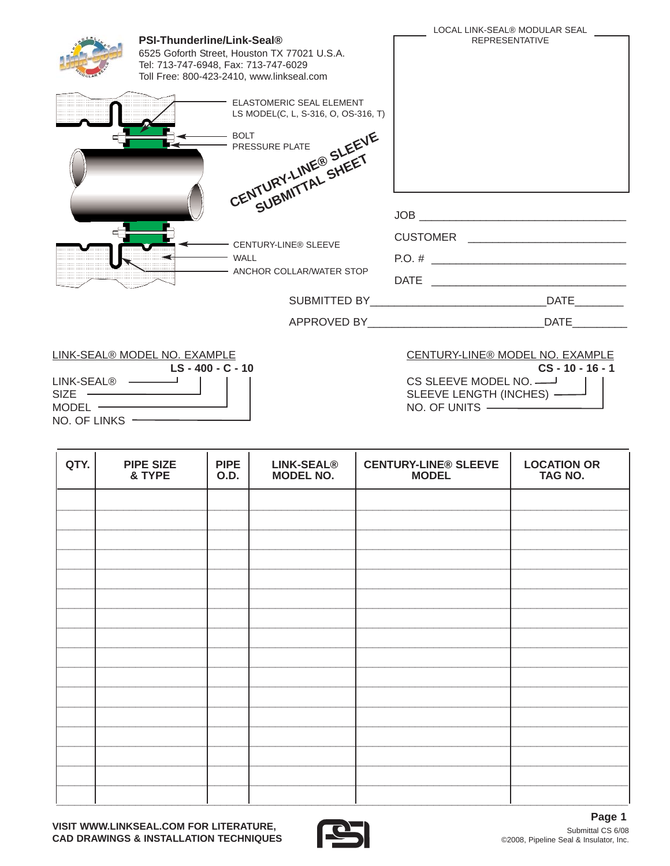|                                             |                                                                           |                                                                                           | LOCAL LINK-SEAL® MODULAR SEAL                                                     |  |  |
|---------------------------------------------|---------------------------------------------------------------------------|-------------------------------------------------------------------------------------------|-----------------------------------------------------------------------------------|--|--|
|                                             | <b>PSI-Thunderline/Link-Seal®</b><br>Tel: 713-747-6948, Fax: 713-747-6029 | 6525 Goforth Street, Houston TX 77021 U.S.A.<br>Toll Free: 800-423-2410, www.linkseal.com | <b>REPRESENTATIVE</b>                                                             |  |  |
|                                             |                                                                           | <b>ELASTOMERIC SEAL ELEMENT</b><br>LS MODEL(C, L, S-316, O, OS-316, T)                    |                                                                                   |  |  |
|                                             |                                                                           | CENTURY-LINE® SLEEVE                                                                      |                                                                                   |  |  |
|                                             |                                                                           | SUBMITTAL SHEET                                                                           |                                                                                   |  |  |
|                                             |                                                                           |                                                                                           | JOB <b>SERVICE STATES AND STATES AND STATES AND STATES AND STATES AND STATES.</b> |  |  |
|                                             |                                                                           | - CENTURY-LINE® SLEEVE                                                                    |                                                                                   |  |  |
|                                             |                                                                           | <b>WALL</b>                                                                               | $P.O. # \_$                                                                       |  |  |
|                                             |                                                                           | - ANCHOR COLLAR/WATER STOP                                                                |                                                                                   |  |  |
|                                             |                                                                           |                                                                                           | <b>DATE</b>                                                                       |  |  |
|                                             |                                                                           |                                                                                           | <b>DATE</b>                                                                       |  |  |
| LINK-SEAL® MODEL NO. EXAMPLE<br>LS-400-C-10 |                                                                           |                                                                                           | CENTURY-LINE® MODEL NO. EXAMPLE<br>$CS - 10 - 16 - 1$                             |  |  |

|                           | LII 11 \ UL/ \LV 11 UUD LL 1 1 U. L/V \IIII LL |
|---------------------------|------------------------------------------------|
|                           | $LS - 400 - C - 10$                            |
| LINK-SEAL® —              |                                                |
| SIZE                      |                                                |
| $MODEL$ $\longrightarrow$ |                                                |
| $NO$ . OF LINKS $-$       |                                                |
|                           |                                                |

T

# CS SLEEVE MODEL NO. SLEEVE LENGTH (INCHES) -

NO. OF UNITS -

| QTY. | <b>PIPE SIZE</b><br>& TYPE | <b>PIPE</b><br><b>O.D.</b> | <b>LINK-SEAL®</b><br><b>MODEL NO.</b> | <b>CENTURY-LINE® SLEEVE</b><br><b>MODEL</b> | <b>LOCATION OR</b><br>TAG NO. |
|------|----------------------------|----------------------------|---------------------------------------|---------------------------------------------|-------------------------------|
|      |                            |                            |                                       |                                             |                               |
|      |                            |                            |                                       |                                             |                               |
|      |                            |                            |                                       |                                             |                               |
|      |                            |                            |                                       |                                             |                               |
|      |                            |                            |                                       |                                             |                               |
|      |                            |                            |                                       |                                             |                               |
|      |                            |                            |                                       |                                             |                               |
|      |                            |                            |                                       |                                             |                               |
|      |                            |                            |                                       |                                             |                               |
|      |                            |                            |                                       |                                             |                               |
|      |                            |                            |                                       |                                             |                               |
|      |                            |                            |                                       |                                             |                               |
|      |                            |                            |                                       |                                             |                               |
|      |                            |                            |                                       |                                             |                               |
|      |                            |                            |                                       |                                             |                               |
|      |                            |                            |                                       |                                             |                               |